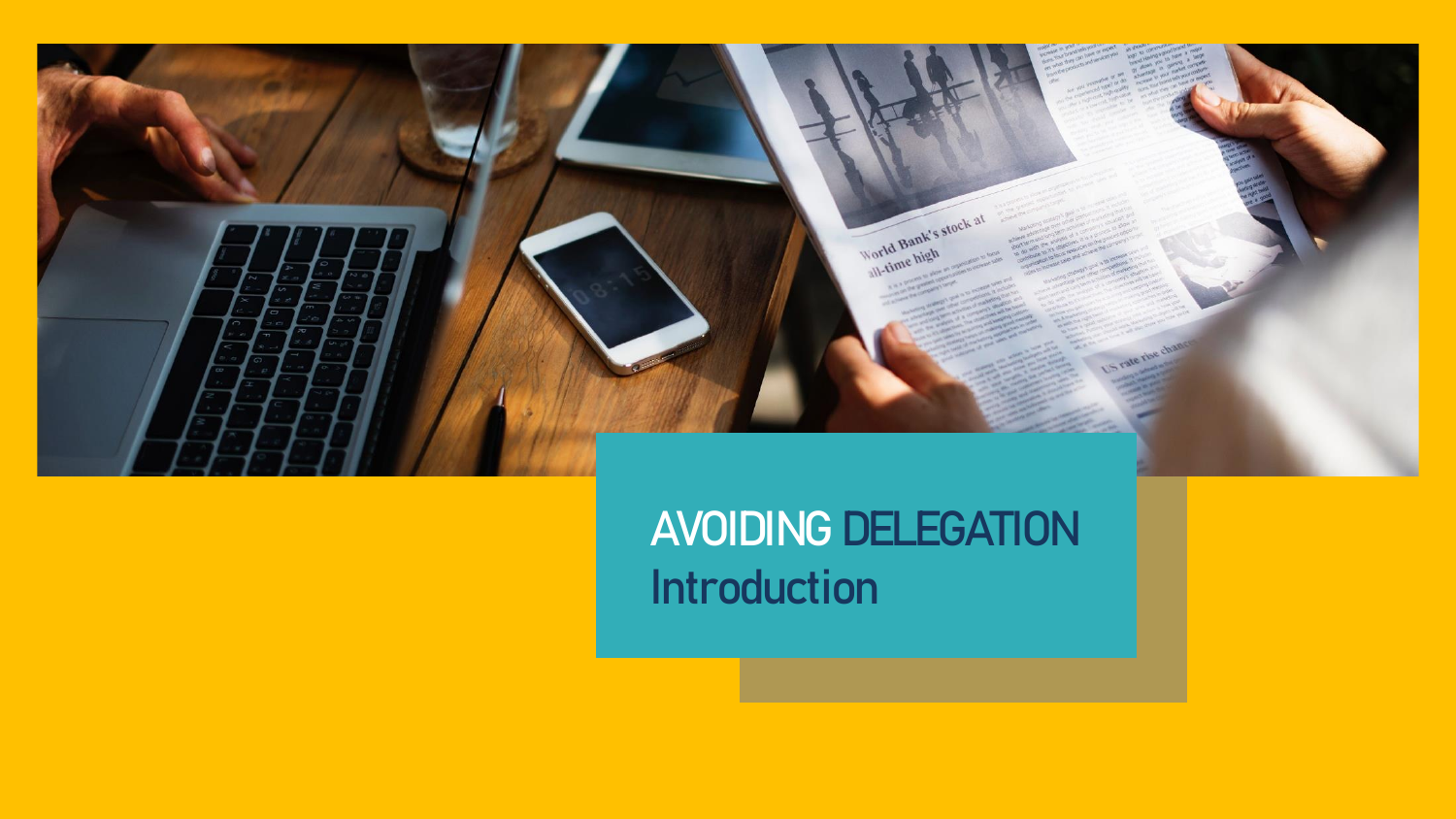

## **AVOIDING DELEGATION Introduction**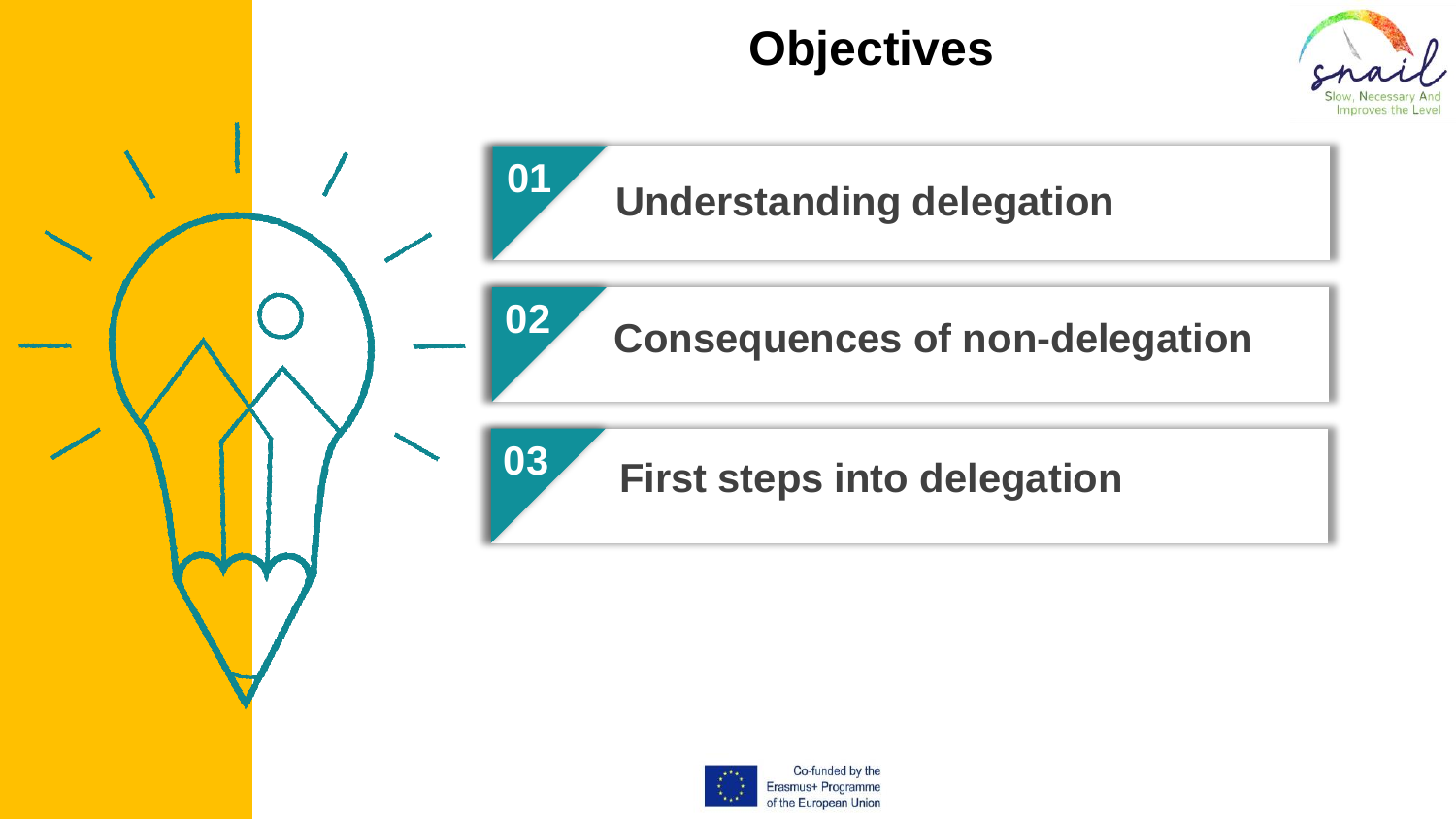## **Objectives**





## **Understanding delegation**

**Consequences of non-delegation**

#### **First steps into delegation**

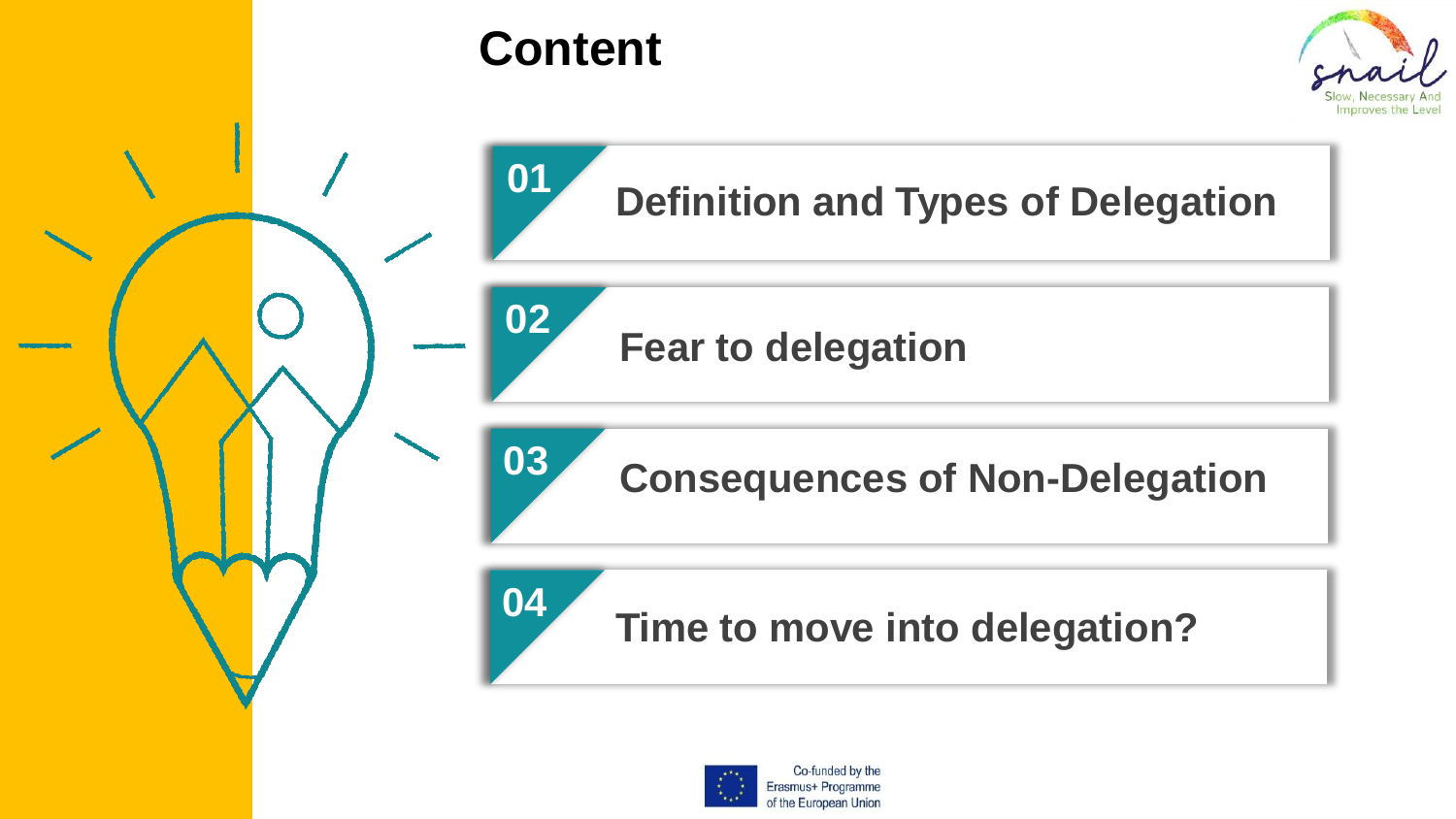

# **Definition and Types of Delegation**

**Fear to delegation** 

**Consequences of Non-Delegation**

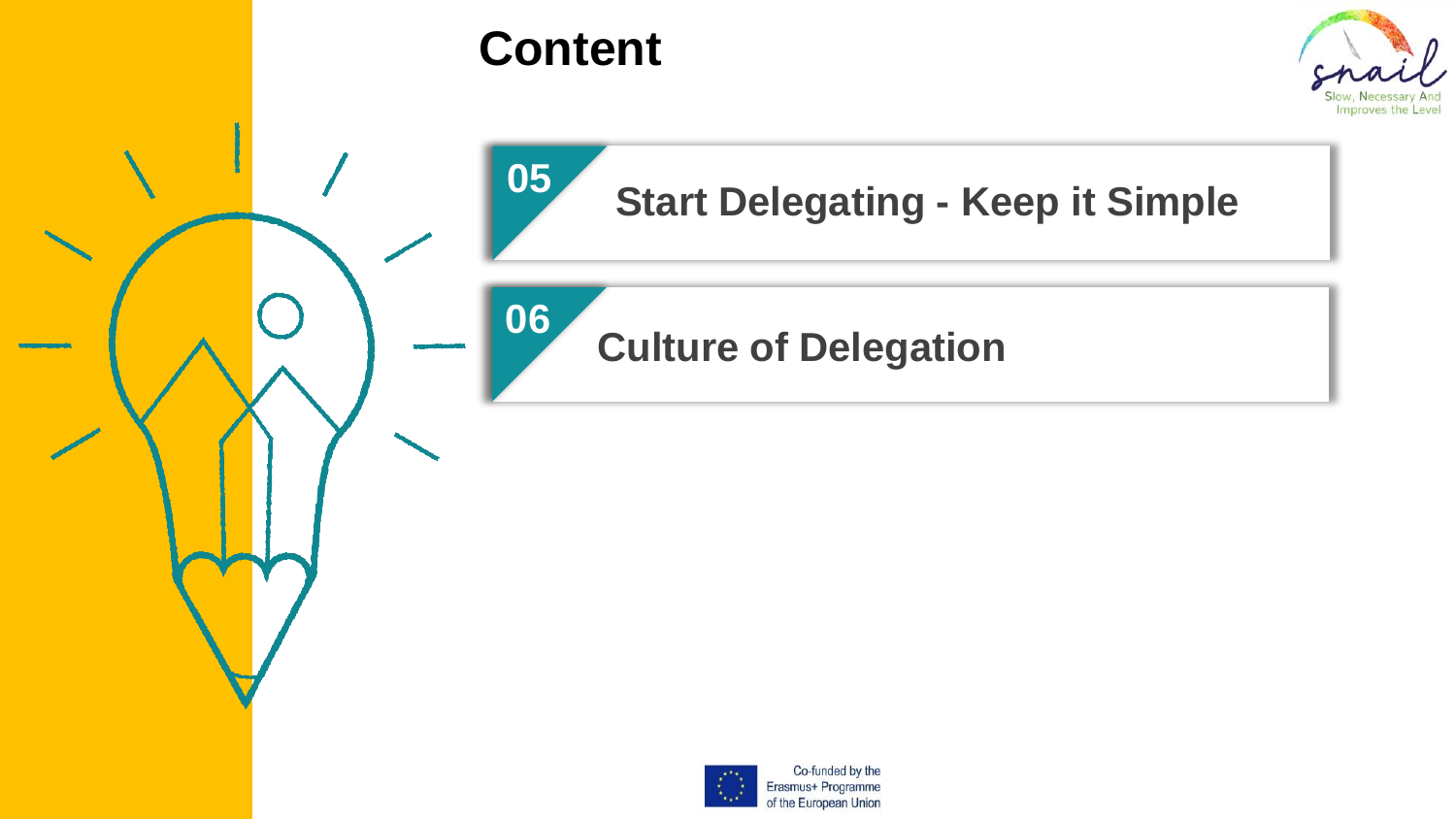

## **Content**

**05**



## **Start Delegating - Keep it Simple**

**Culture of Delegation 06**



Co-funded by the Erasmus+ Programme of the European Union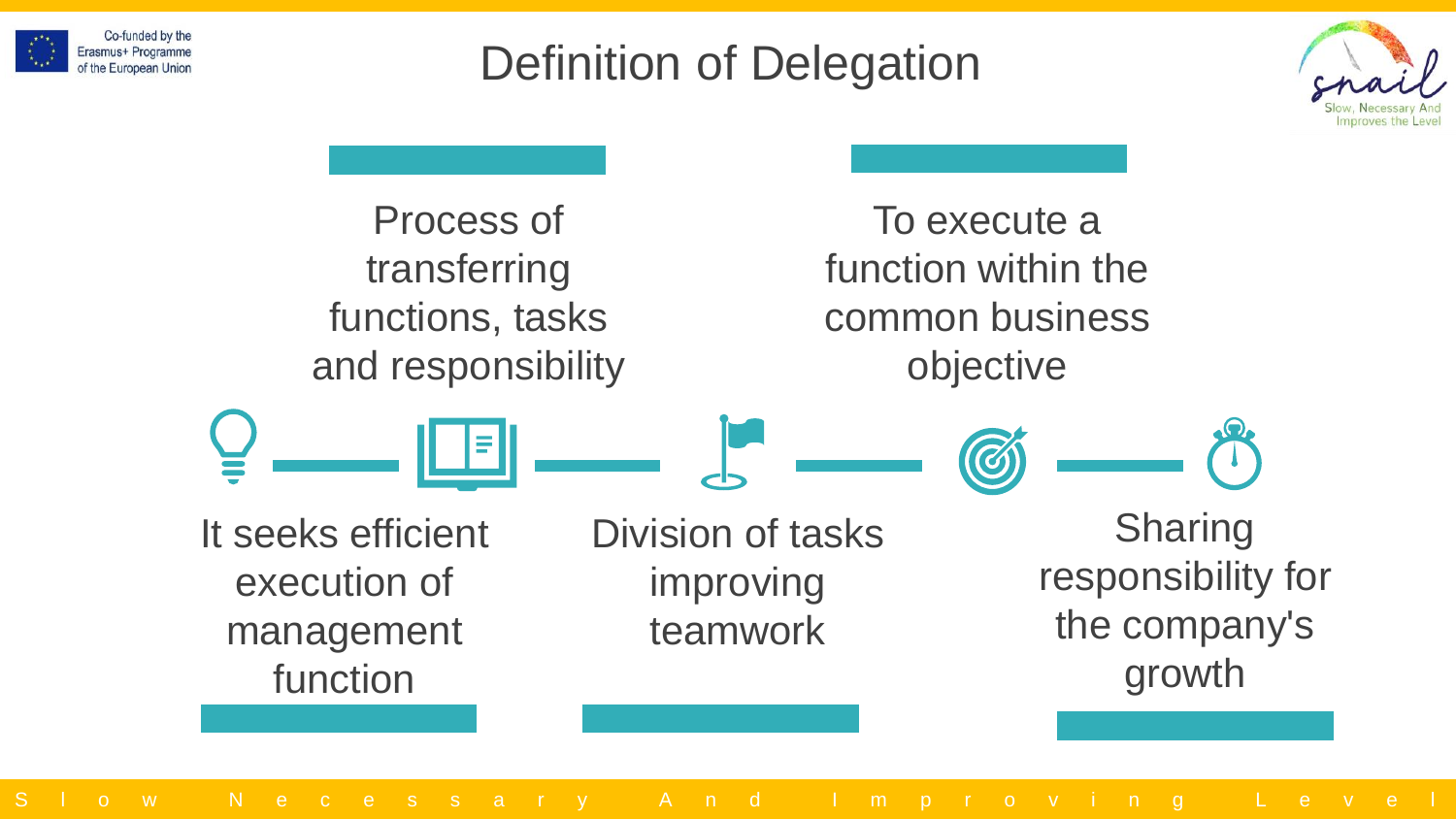

## Definition of Delegation



Process of transferring functions, tasks and responsibility

To execute a function within the common business objective

Division of tasks improving teamwork It seeks efficient execution of management function Sharing responsibility for the company's growth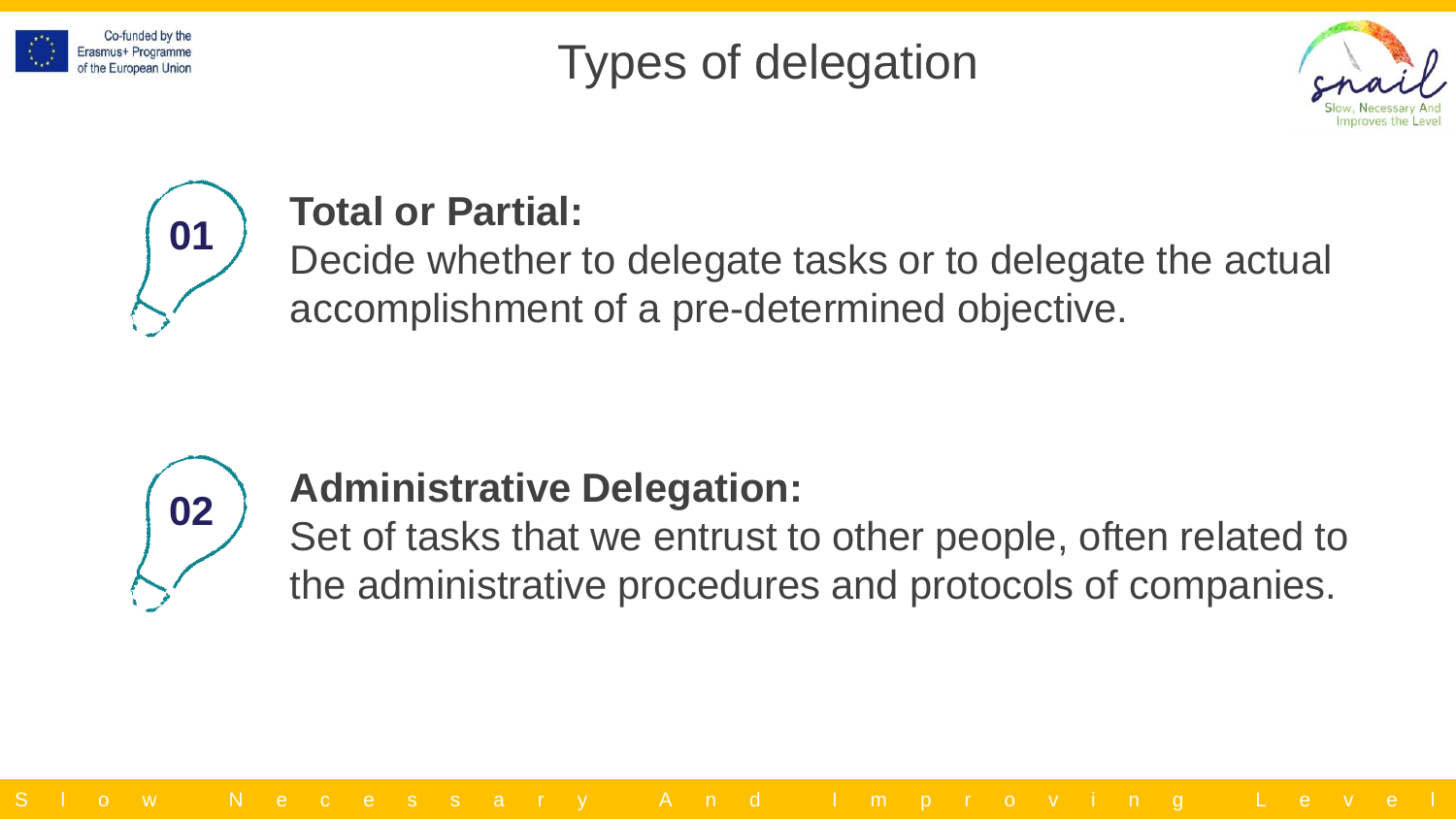

## Types of delegation





#### **Total or Partial:**

Decide whether to delegate tasks or to delegate the actual accomplishment of a pre-determined objective.



#### **Administrative Delegation:**

Set of tasks that we entrust to other people, often related to the administrative procedures and protocols of companies.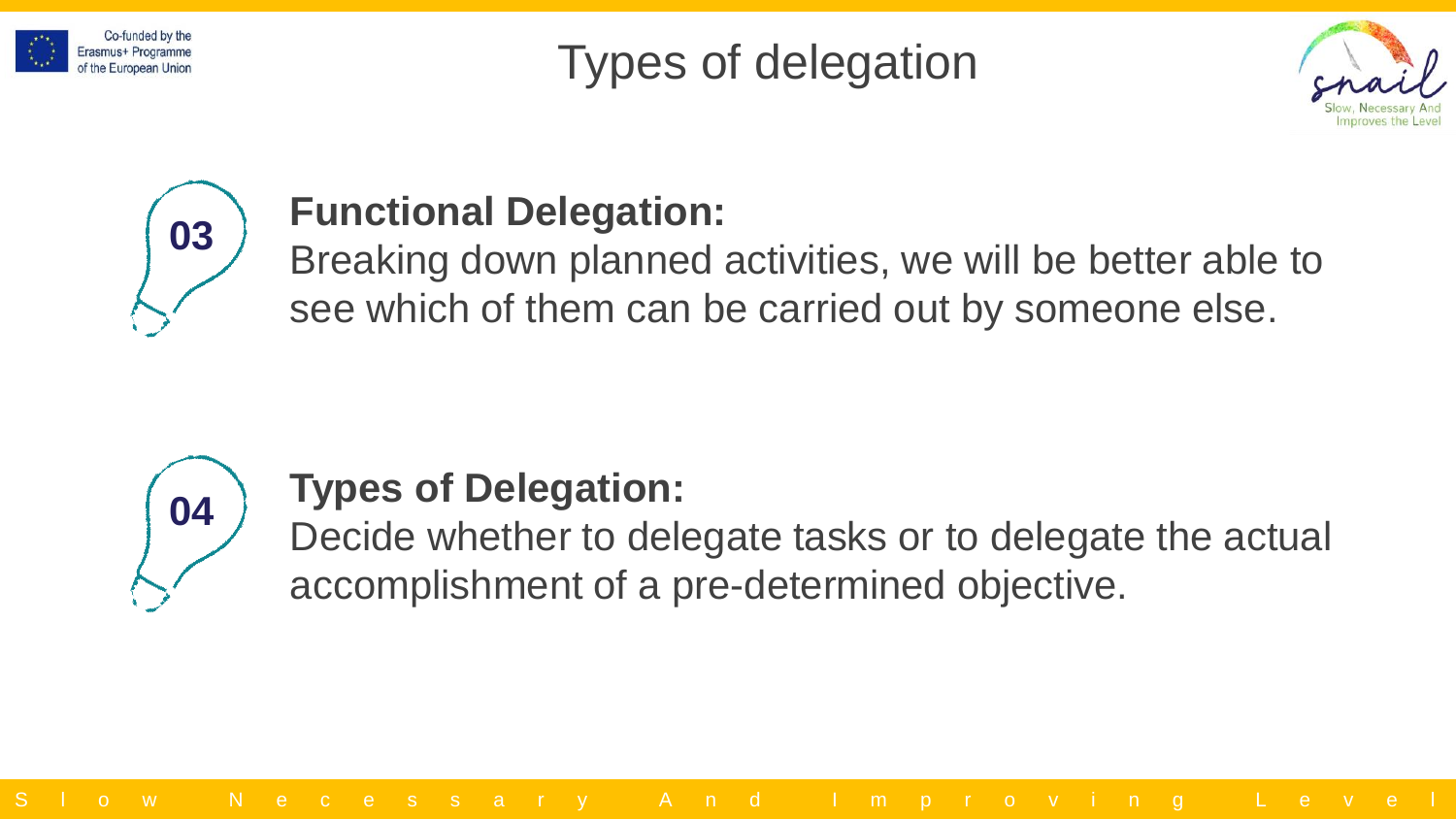

## Types of delegation





#### **Functional Delegation:**

Breaking down planned activities, we will be better able to see which of them can be carried out by someone else.



#### **Types of Delegation:**

Decide whether to delegate tasks or to delegate the actual accomplishment of a pre-determined objective.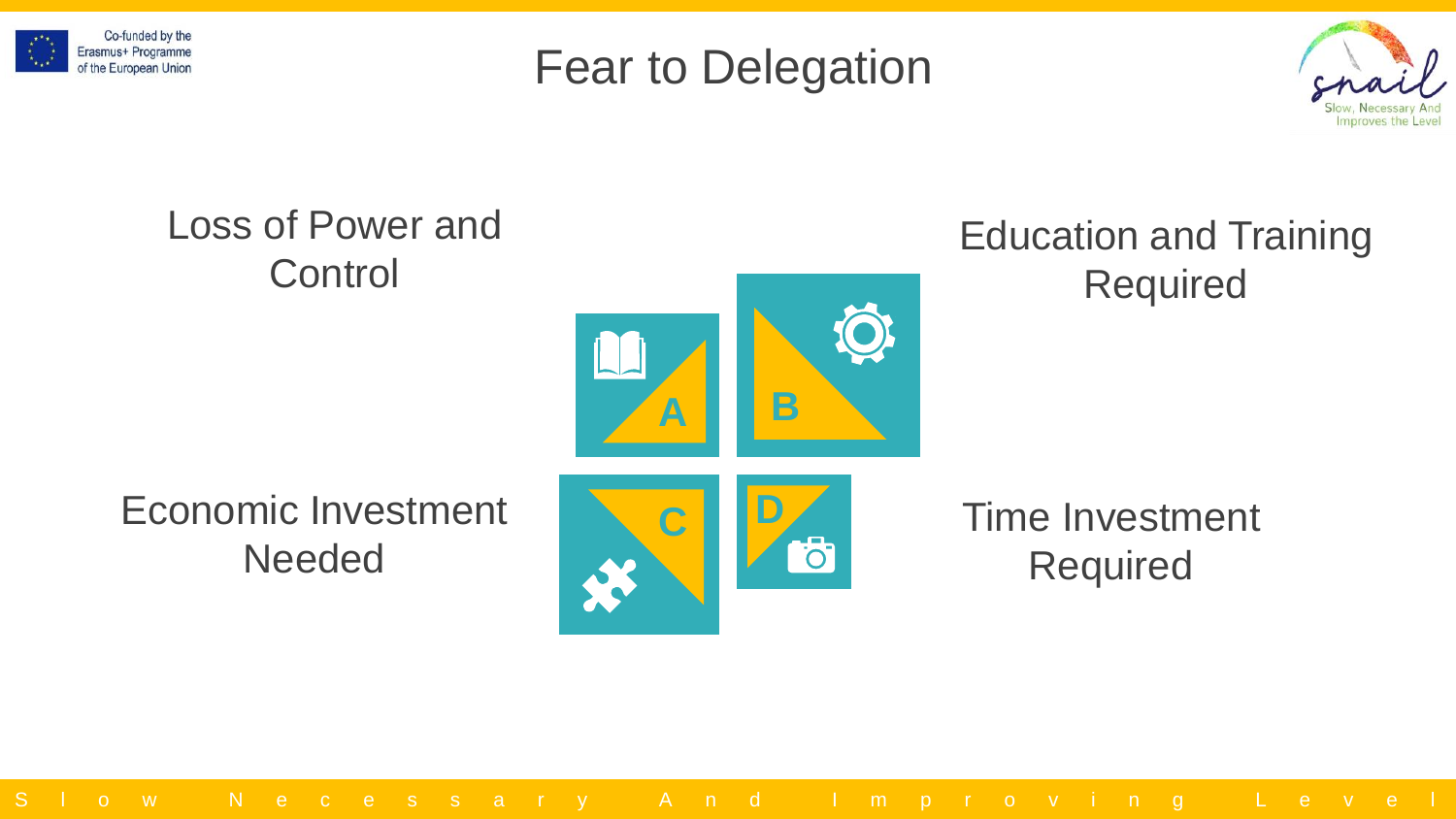





#### Loss of Power and Education and Training **Control** RequiredÖ **A B** Economic Investment Time Investment **C D**  $\overline{\sigma}$ Needed Required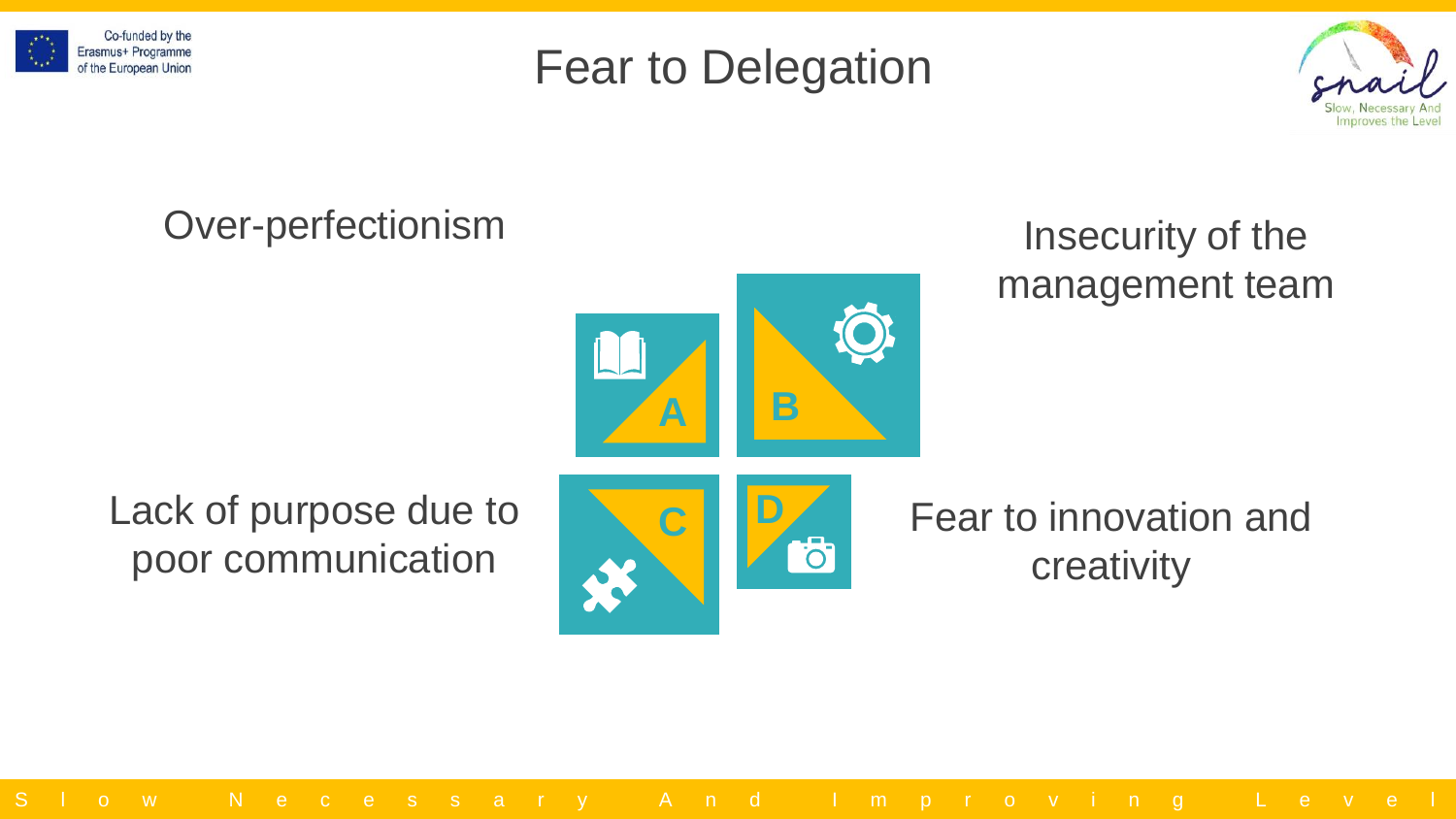





#### Over-perfectionism



#### Insecurity of the management team

#### Lack of purpose due to poor communication



#### Fear to innovation and creativity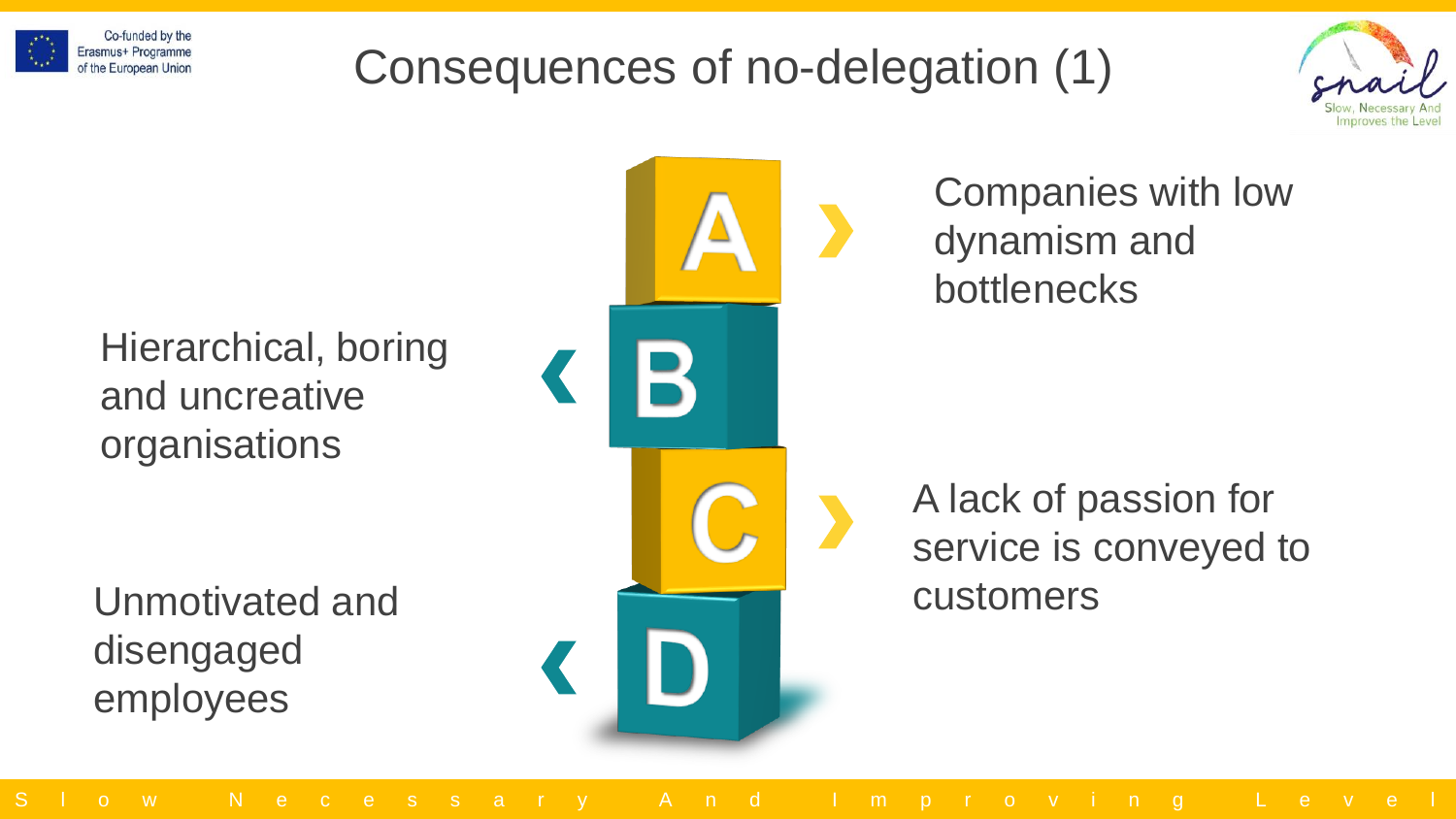

## Consequences of no-delegation (1)



Hierarchical, boring and uncreative organisations

Unmotivated and disengaged employees

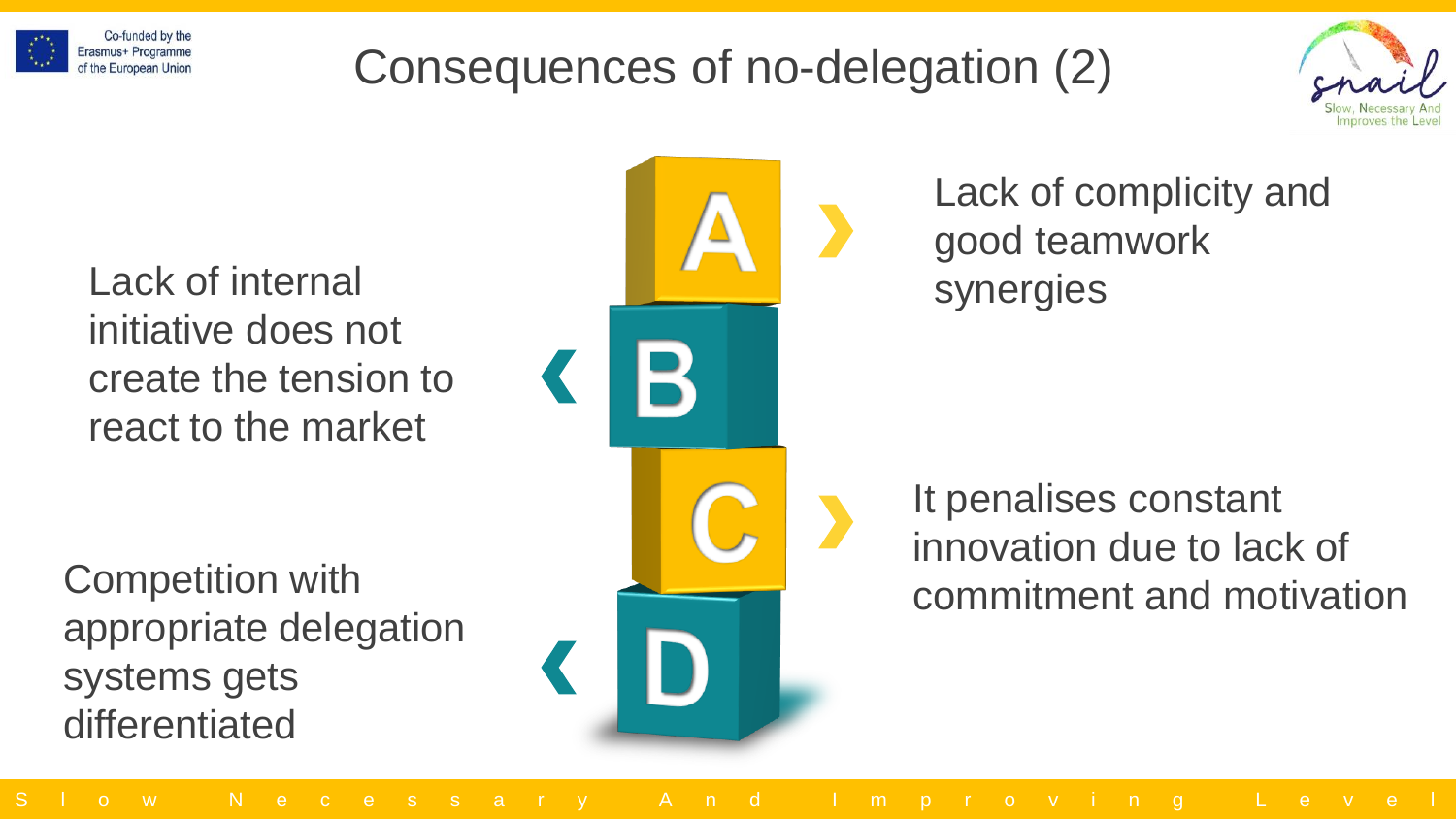

## Consequences of no-delegation (2)



Lack of internal synergies initiative does not create the tension to react to the market

Competition with appropriate delegation systems gets differentiated



Lack of complicity and good teamwork

It penalises constant innovation due to lack of commitment and motivation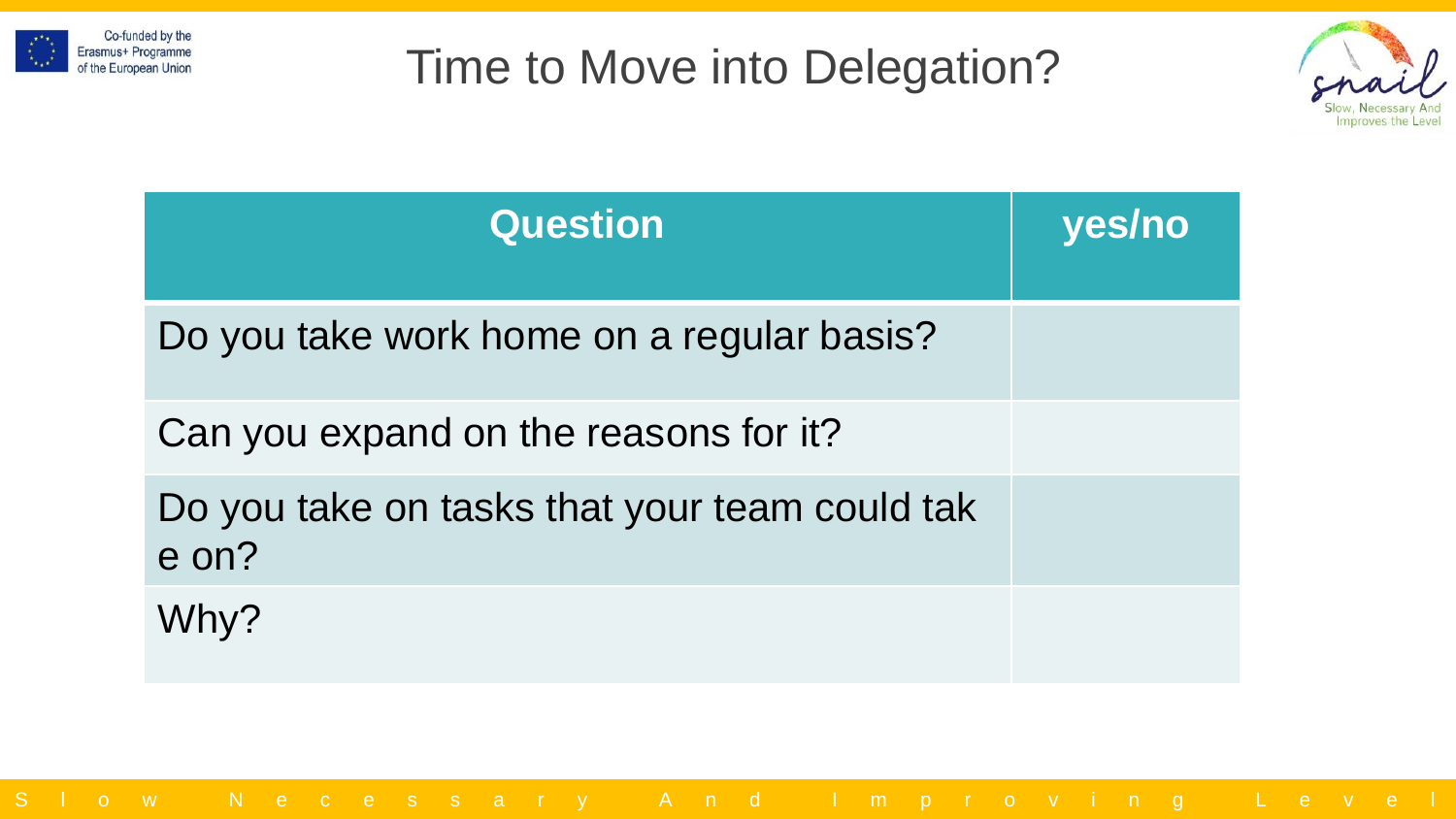



| <b>Question</b>                                        | yes/no |
|--------------------------------------------------------|--------|
| Do you take work home on a regular basis?              |        |
| Can you expand on the reasons for it?                  |        |
| Do you take on tasks that your team could tak<br>e on? |        |
| Why?                                                   |        |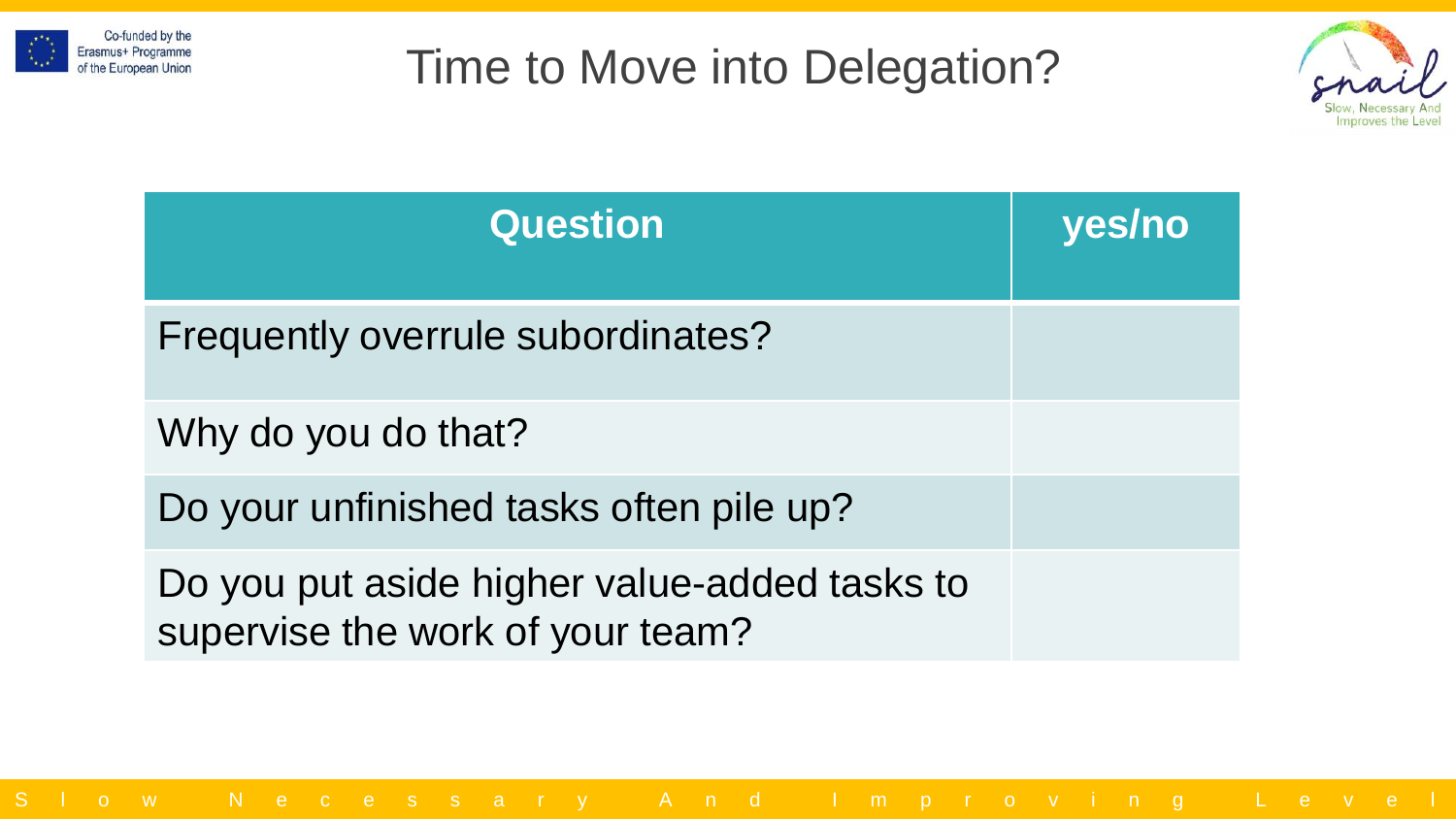



| <b>Question</b>                                                                  | yes/no |
|----------------------------------------------------------------------------------|--------|
| Frequently overrule subordinates?                                                |        |
| Why do you do that?                                                              |        |
| Do your unfinished tasks often pile up?                                          |        |
| Do you put aside higher value-added tasks to<br>supervise the work of your team? |        |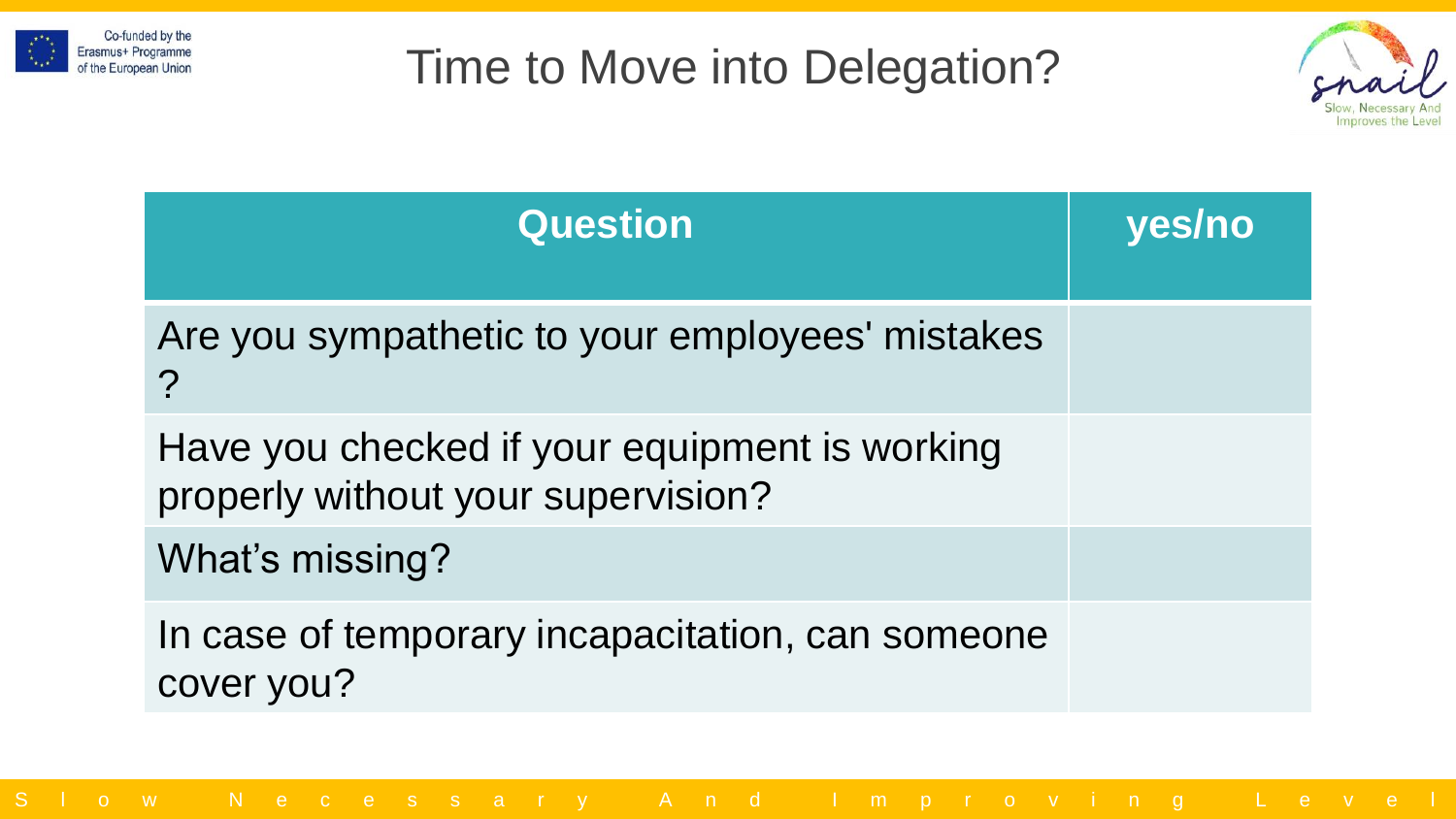



| <b>Question</b>                                                                     | <b>yes/no</b> |
|-------------------------------------------------------------------------------------|---------------|
| Are you sympathetic to your employees' mistakes<br>$\overline{?}$                   |               |
| Have you checked if your equipment is working<br>properly without your supervision? |               |
| What's missing?                                                                     |               |
| In case of temporary incapacitation, can someone<br>cover you?                      |               |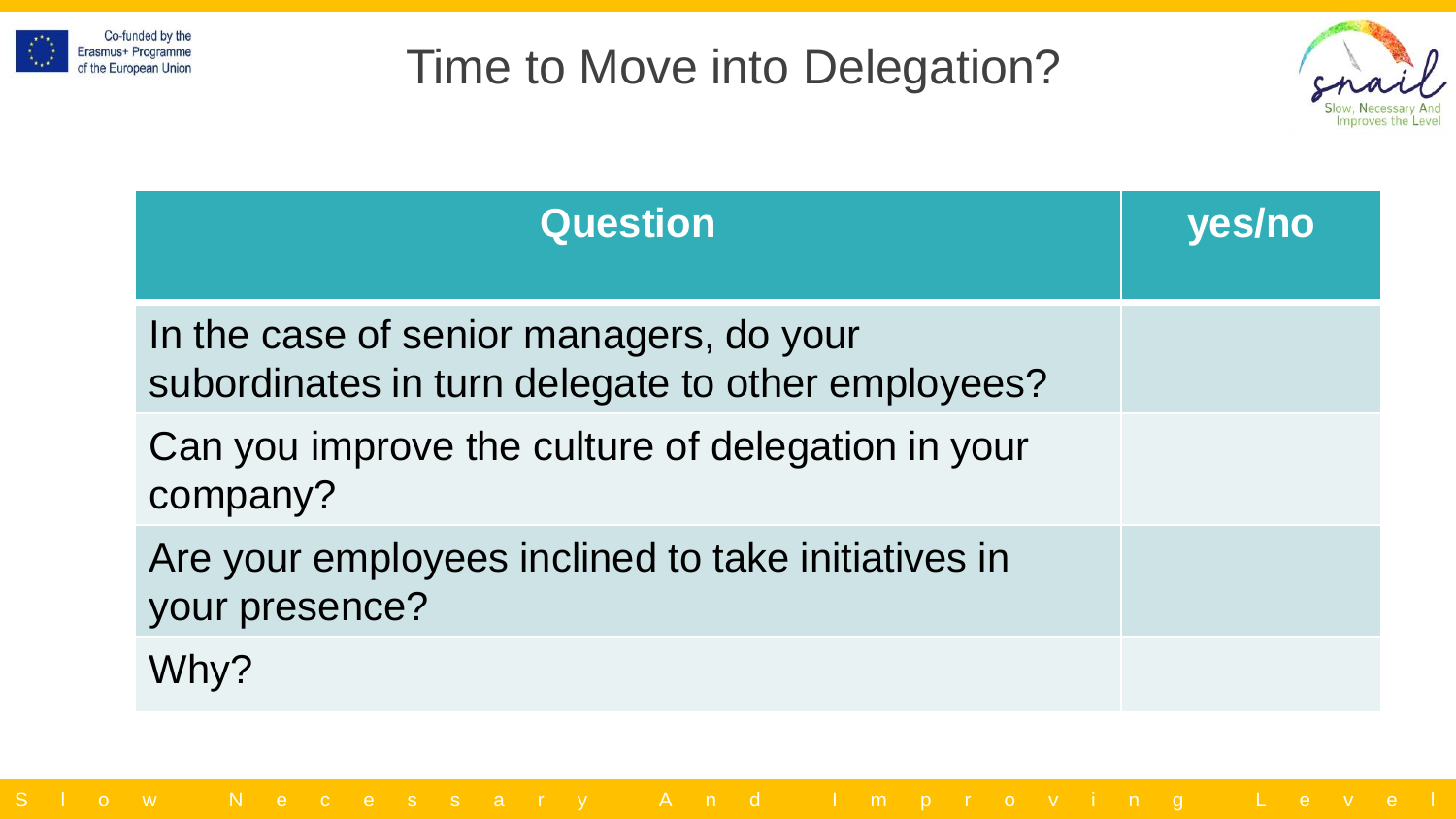



| <b>Question</b>                                                                              | yes/no |
|----------------------------------------------------------------------------------------------|--------|
| In the case of senior managers, do your<br>subordinates in turn delegate to other employees? |        |
| Can you improve the culture of delegation in your<br>company?                                |        |
| Are your employees inclined to take initiatives in<br>your presence?                         |        |
| Why?                                                                                         |        |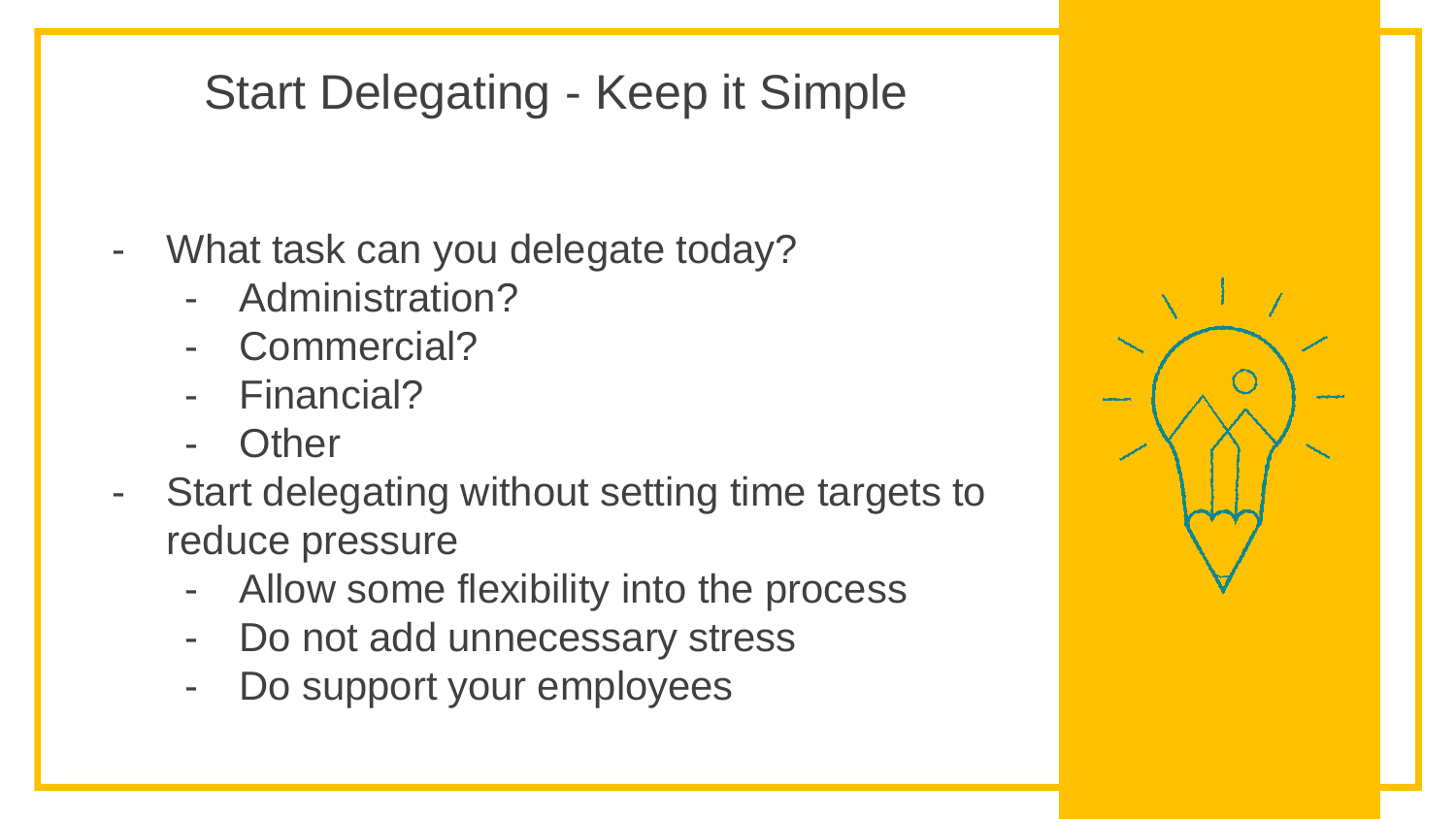## Start Delegating - Keep it Simple

- What task can you delegate today?
	- Administration?
	- Commercial?
	- Financial?
	- **Other**
- Start delegating without setting time targets to reduce pressure
	- Allow some flexibility into the process
	- Do not add unnecessary stress
	- Do support your employees

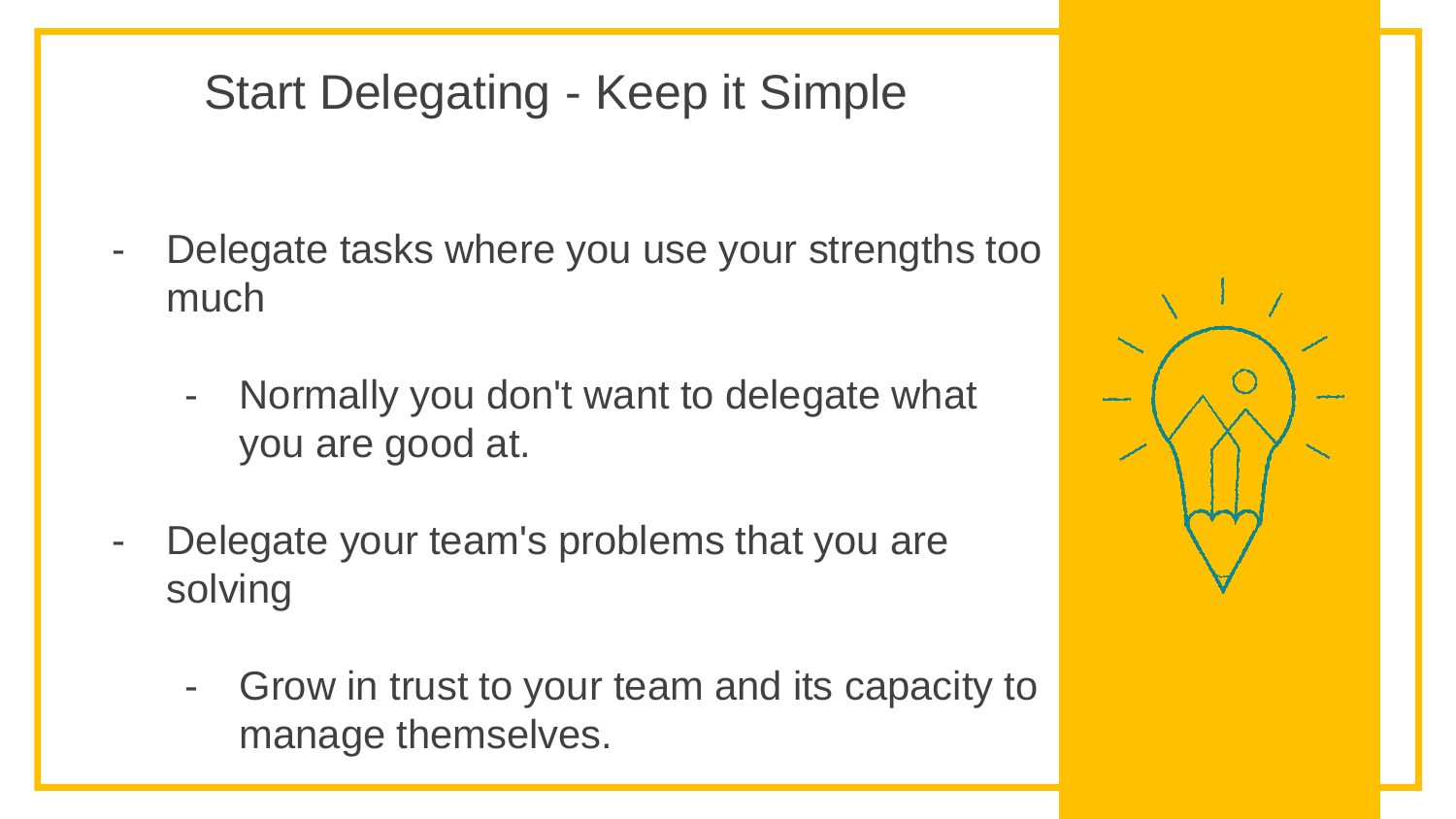## Start Delegating - Keep it Simple

- Delegate tasks where you use your strengths too much
	- Normally you don't want to delegate what you are good at.
- Delegate your team's problems that you are solving
	- Grow in trust to your team and its capacity to manage themselves.

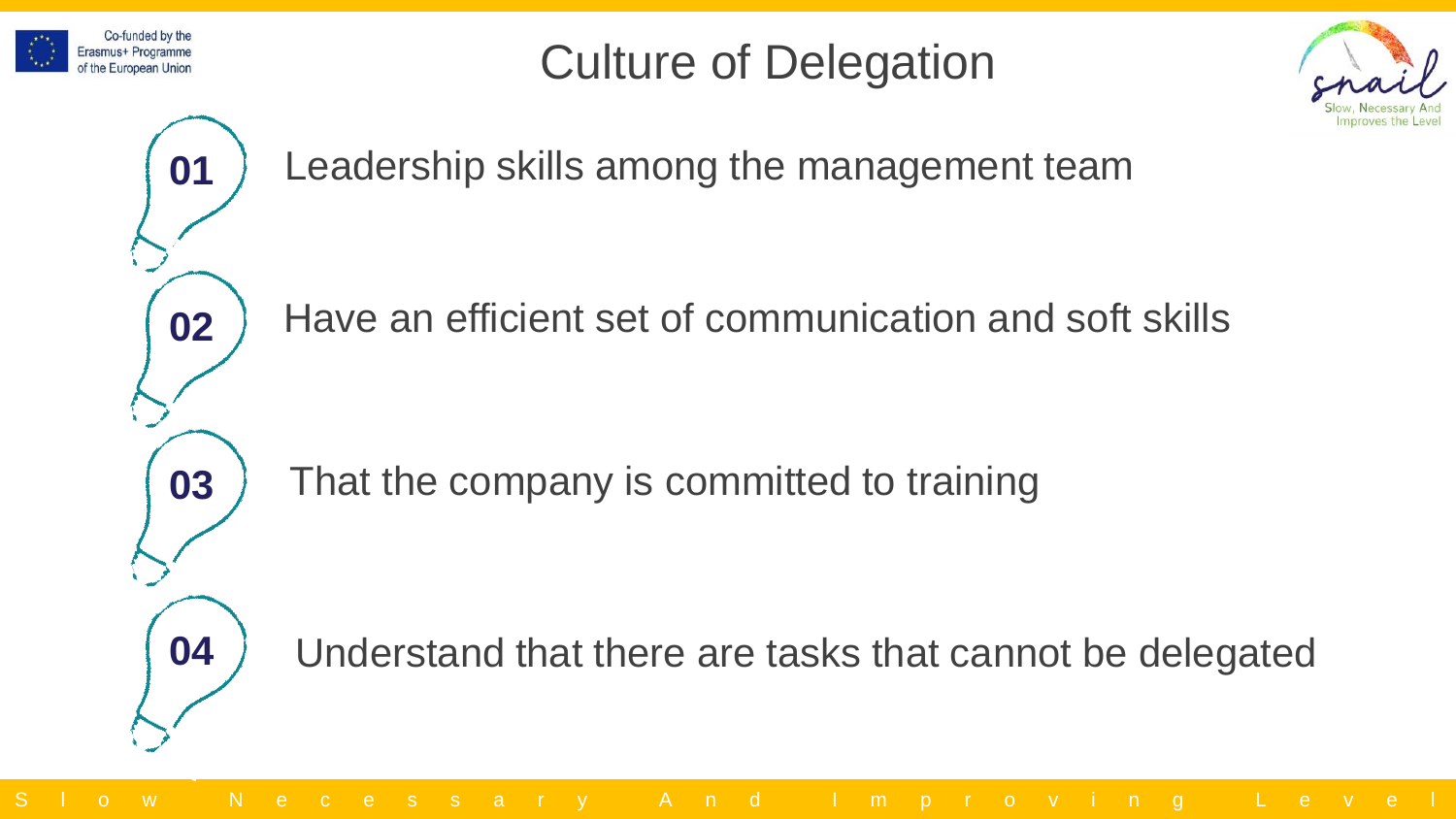

## Culture of Delegation



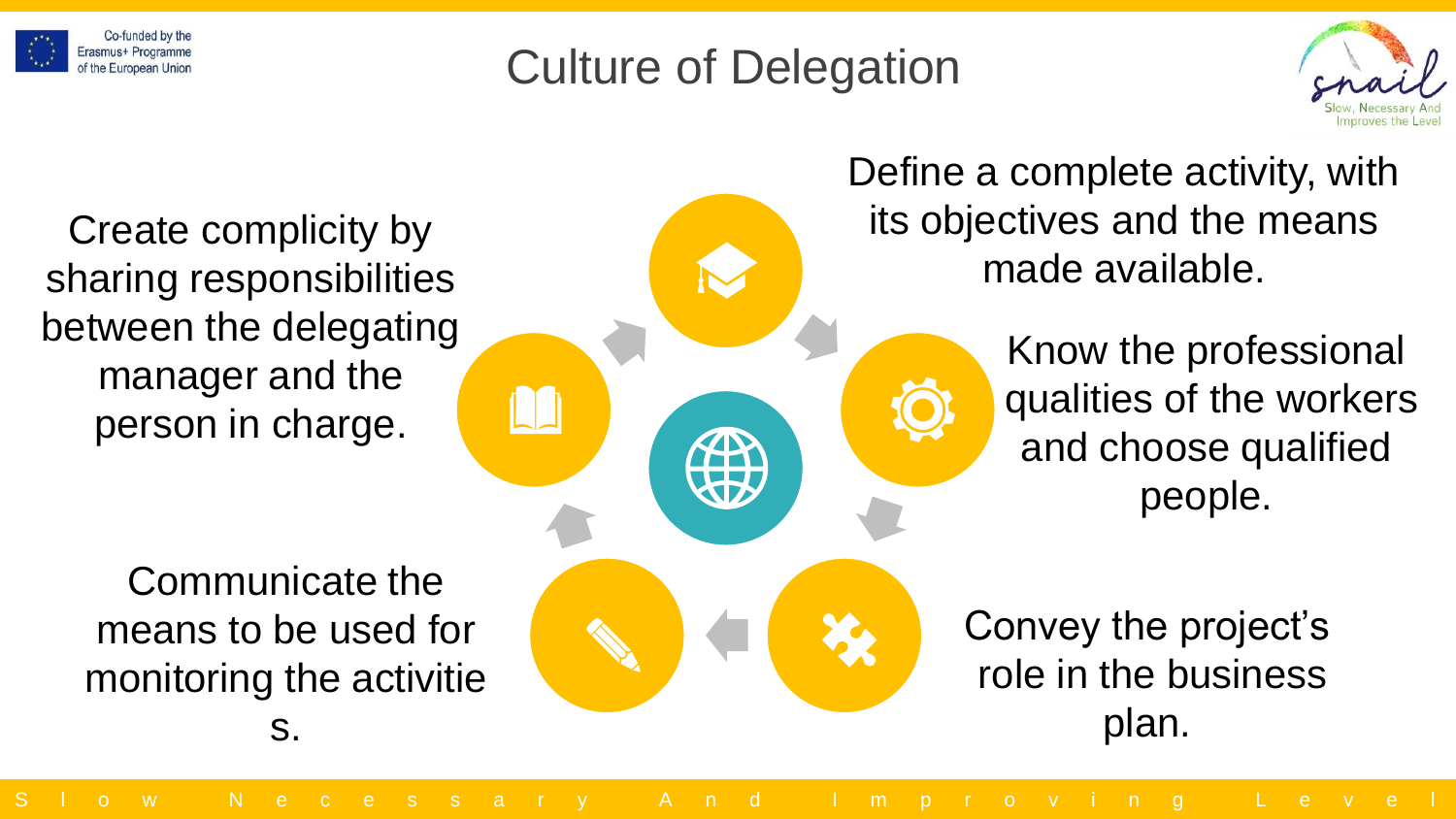

## Culture of Delegation



Create complicity by sharing responsibilities between the delegating manager and the person in charge.

Communicate the means to be used for monitoring the activitie s.

Define a complete activity, with its objectives and the means made available.

> Know the professional qualities of the workers and choose qualified people.

Convey the project's role in the business plan.